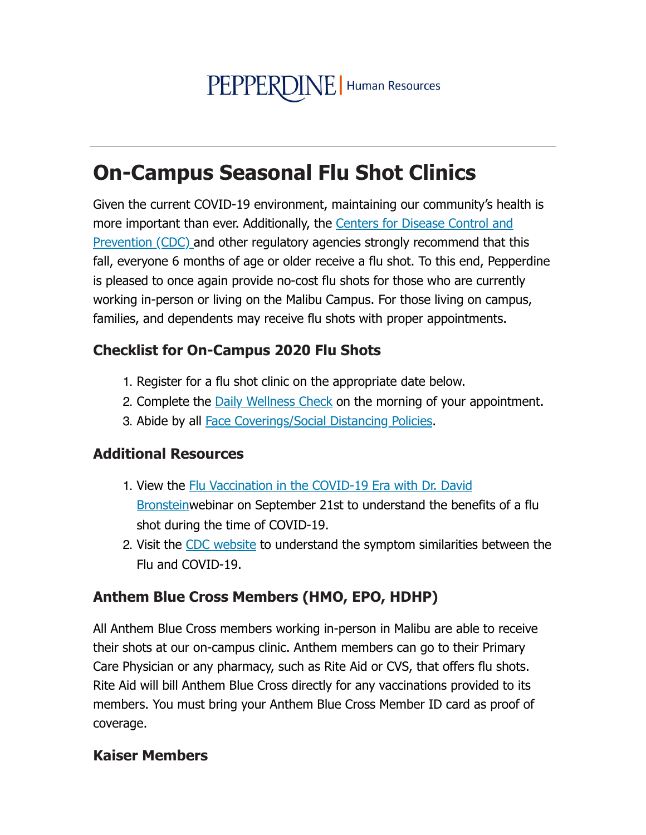# PEPPERDINE | Human Resources

# **On-Campus Seasonal Flu Shot Clinics**

Given the current COVID-19 environment, maintaining our community's health is more important than ever. Additionally, the Centers for Disease Control and **Prevention (CDC) and other regulatory agencies strongly recommend that this** fall, everyone 6 months of age or older receive a flu shot. To this end, Pepperdine is pleased to once again provide no-cost flu shots for those who are currently working in-person or living on the Malibu Campus. For those living on campus, families, and dependents may receive flu shots with proper appointments.

#### **Checklist for On-Campus 2020 Flu Shots**

- 1. Register for a flu shot clinic on the appropriate date below.
- 2. Complete the Daily Wellness Check on the morning of your appointment.
- 3. Abide by all Face Coverings/Social Distancing Policies.

#### **Additional Resources**

- 1. View the Flu Vaccination in the COVID-19 Era with Dr. David **Bronsteinwebinar on September 21st to understand the benefits of a flu** shot during the time of COVID-19.
- 2. Visit the CDC website to understand the symptom similarities between the Flu and COVID-19.

#### **Anthem Blue Cross Members (HMO, EPO, HDHP)**

All Anthem Blue Cross members working in-person in Malibu are able to receive their shots at our on-campus clinic. Anthem members can go to their Primary Care Physician or any pharmacy, such as Rite Aid or CVS, that offers flu shots. Rite Aid will bill Anthem Blue Cross directly for any vaccinations provided to its members. You must bring your Anthem Blue Cross Member ID card as proof of coverage.

#### **Kaiser Members**